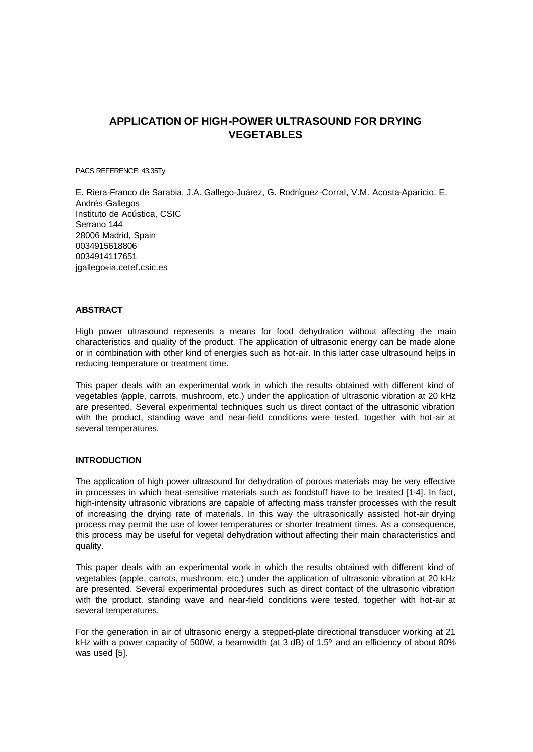# **APPLICATION OF HIGH-POWER ULTRASOUND FOR DRYING VEGETABLES**

PACS REFERENCE: 43.35Ty

E. Riera-Franco de Sarabia, J.A. Gallego-Juárez, G. Rodríguez-Corral, V.M. Acosta-Aparicio, E. Andrés-Gallegos Instituto de Acústica, CSIC Serrano 144 28006 Madrid, Spain 0034915618806 0034914117651 jgallego@ia.cetef.csic.es

#### **ABSTRACT**

High power ultrasound represents a means for food dehydration without affecting the main characteristics and quality of the product. The application of ultrasonic energy can be made alone or in combination with other kind of energies such as hot-air. In this latter case ultrasound helps in reducing temperature or treatment time.

This paper deals with an experimental work in which the results obtained with different kind of vegetables (apple, carrots, mushroom, etc.) under the application of ultrasonic vibration at 20 kHz are presented. Several experimental techniques such us direct contact of the ultrasonic vibration with the product, standing wave and near-field conditions were tested, together with hot-air at several temperatures.

## **INTRODUCTION**

The application of high power ultrasound for dehydration of porous materials may be very effective in processes in which heat-sensitive materials such as foodstuff have to be treated [1-4]. In fact, high-intensity ultrasonic vibrations are capable of affecting mass transfer processes with the result of increasing the drying rate of materials. In this way the ultrasonically assisted hot-air drying process may permit the use of lower temperatures or shorter treatment times. As a consequence, this process may be useful for vegetal dehydration without affecting their main characteristics and quality.

This paper deals with an experimental work in which the results obtained with different kind of vegetables (apple, carrots, mushroom, etc.) under the application of ultrasonic vibration at 20 kHz are presented. Several experimental procedures such as direct contact of the ultrasonic vibration with the product, standing wave and near-field conditions were tested, together with hot-air at several temperatures.

For the generation in air of ultrasonic energy a stepped-plate directional transducer working at 21 kHz with a power capacity of 500W, a beamwidth (at 3 dB) of 1.5º and an efficiency of about 80% was used [5].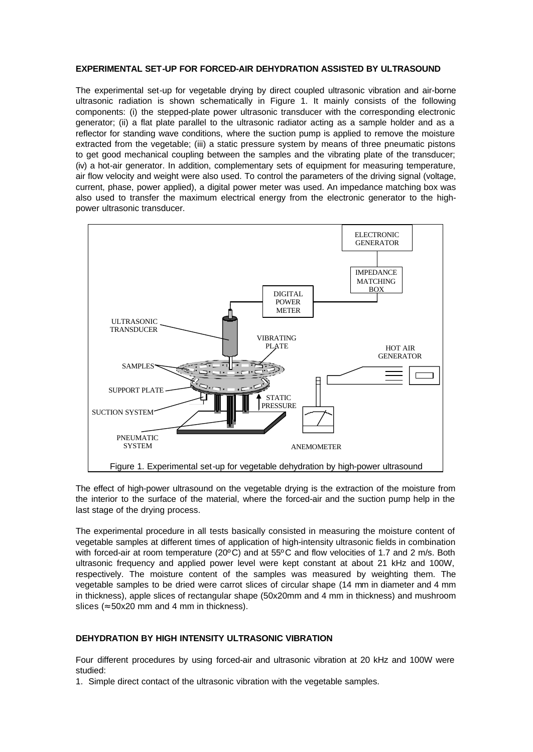## **EXPERIMENTAL SET-UP FOR FORCED-AIR DEHYDRATION ASSISTED BY ULTRASOUND**

The experimental set-up for vegetable drying by direct coupled ultrasonic vibration and air-borne ultrasonic radiation is shown schematically in Figure 1. It mainly consists of the following components: (i) the stepped-plate power ultrasonic transducer with the corresponding electronic generator; (ii) a flat plate parallel to the ultrasonic radiator acting as a sample holder and as a reflector for standing wave conditions, where the suction pump is applied to remove the moisture extracted from the vegetable; (iii) a static pressure system by means of three pneumatic pistons to get good mechanical coupling between the samples and the vibrating plate of the transducer; (iv) a hot-air generator. In addition, complementary sets of equipment for measuring temperature, air flow velocity and weight were also used. To control the parameters of the driving signal (voltage, current, phase, power applied), a digital power meter was used. An impedance matching box was also used to transfer the maximum electrical energy from the electronic generator to the highpower ultrasonic transducer.



The effect of high-power ultrasound on the vegetable drying is the extraction of the moisture from the interior to the surface of the material, where the forced-air and the suction pump help in the last stage of the drying process.

The experimental procedure in all tests basically consisted in measuring the moisture content of vegetable samples at different times of application of high-intensity ultrasonic fields in combination with forced-air at room temperature (20ºC) and at 55ºC and flow velocities of 1.7 and 2 m/s. Both ultrasonic frequency and applied power level were kept constant at about 21 kHz and 100W, respectively. The moisture content of the samples was measured by weighting them. The vegetable samples to be dried were carrot slices of circular shape (14 mm in diameter and 4 mm in thickness), apple slices of rectangular shape (50x20mm and 4 mm in thickness) and mushroom slices ( $\approx$  50x20 mm and 4 mm in thickness).

#### **DEHYDRATION BY HIGH INTENSITY ULTRASONIC VIBRATION**

Four different procedures by using forced-air and ultrasonic vibration at 20 kHz and 100W were studied:

1. Simple direct contact of the ultrasonic vibration with the vegetable samples.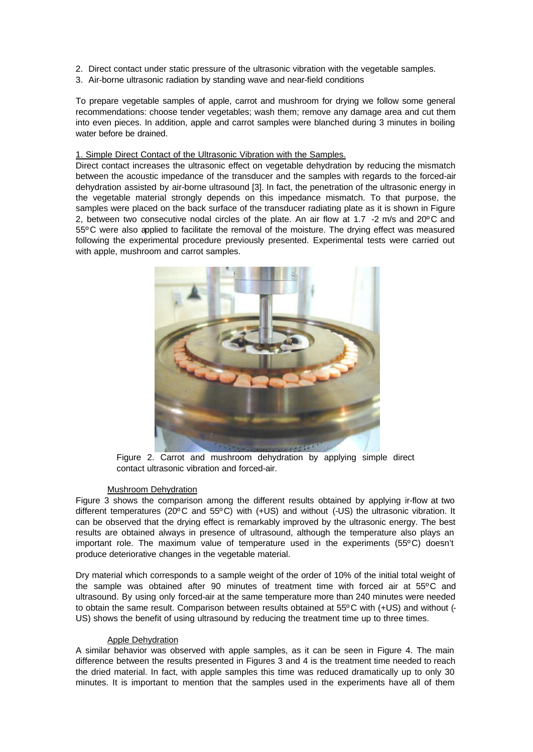- 2. Direct contact under static pressure of the ultrasonic vibration with the vegetable samples.
- 3. Air-borne ultrasonic radiation by standing wave and near-field conditions

To prepare vegetable samples of apple, carrot and mushroom for drying we follow some general recommendations: choose tender vegetables; wash them; remove any damage area and cut them into even pieces. In addition, apple and carrot samples were blanched during 3 minutes in boiling water before be drained.

## 1. Simple Direct Contact of the Ultrasonic Vibration with the Samples.

Direct contact increases the ultrasonic effect on vegetable dehydration by reducing the mismatch between the acoustic impedance of the transducer and the samples with regards to the forced-air dehydration assisted by air-borne ultrasound [3]. In fact, the penetration of the ultrasonic energy in the vegetable material strongly depends on this impedance mismatch. To that purpose, the samples were placed on the back surface of the transducer radiating plate as it is shown in Figure 2, between two consecutive nodal circles of the plate. An air flow at 1.7 -2 m/s and 20ºC and 55ºC were also applied to facilitate the removal of the moisture. The drying effect was measured following the experimental procedure previously presented. Experimental tests were carried out with apple, mushroom and carrot samples.



Figure 2. Carrot and mushroom dehydration by applying simple direct contact ultrasonic vibration and forced-air.

#### Mushroom Dehydration

Figure 3 shows the comparison among the different results obtained by applying ir-flow at two different temperatures (20ºC and 55ºC) with (+US) and without (-US) the ultrasonic vibration. It can be observed that the drying effect is remarkably improved by the ultrasonic energy. The best results are obtained always in presence of ultrasound, although the temperature also plays an important role. The maximum value of temperature used in the experiments (55ºC) doesn't produce deteriorative changes in the vegetable material.

Dry material which corresponds to a sample weight of the order of 10% of the initial total weight of the sample was obtained after 90 minutes of treatment time with forced air at 55ºC and ultrasound. By using only forced-air at the same temperature more than 240 minutes were needed to obtain the same result. Comparison between results obtained at 55ºC with (+US) and without (- US) shows the benefit of using ultrasound by reducing the treatment time up to three times.

#### Apple Dehydration

A similar behavior was observed with apple samples, as it can be seen in Figure 4. The main difference between the results presented in Figures 3 and 4 is the treatment time needed to reach the dried material. In fact, with apple samples this time was reduced dramatically up to only 30 minutes. It is important to mention that the samples used in the experiments have all of them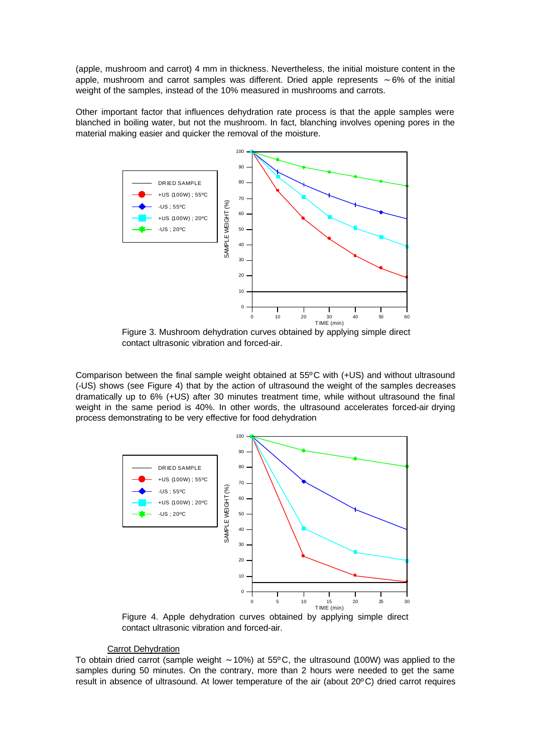(apple, mushroom and carrot) 4 mm in thickness. Nevertheless, the initial moisture content in the apple, mushroom and carrot samples was different. Dried apple represents ∼ 6% of the initial weight of the samples, instead of the 10% measured in mushrooms and carrots.

Other important factor that influences dehydration rate process is that the apple samples were blanched in boiling water, but not the mushroom. In fact, blanching involves opening pores in the material making easier and quicker the removal of the moisture.



Figure 3. Mushroom dehydration curves obtained by applying simple direct contact ultrasonic vibration and forced-air.

Comparison between the final sample weight obtained at 55ºC with (+US) and without ultrasound (-US) shows (see Figure 4) that by the action of ultrasound the weight of the samples decreases dramatically up to 6% (+US) after 30 minutes treatment time, while without ultrasound the final weight in the same period is 40%. In other words, the ultrasound accelerates forced-air drying process demonstrating to be very effective for food dehydration



Figure 4. Apple dehydration curves obtained by applying simple direct contact ultrasonic vibration and forced-air.

## Carrot Dehydration

To obtain dried carrot (sample weight ∼ 10%) at 55ºC, the ultrasound (100W) was applied to the samples during 50 minutes. On the contrary, more than 2 hours were needed to get the same result in absence of ultrasound. At lower temperature of the air (about 20ºC) dried carrot requires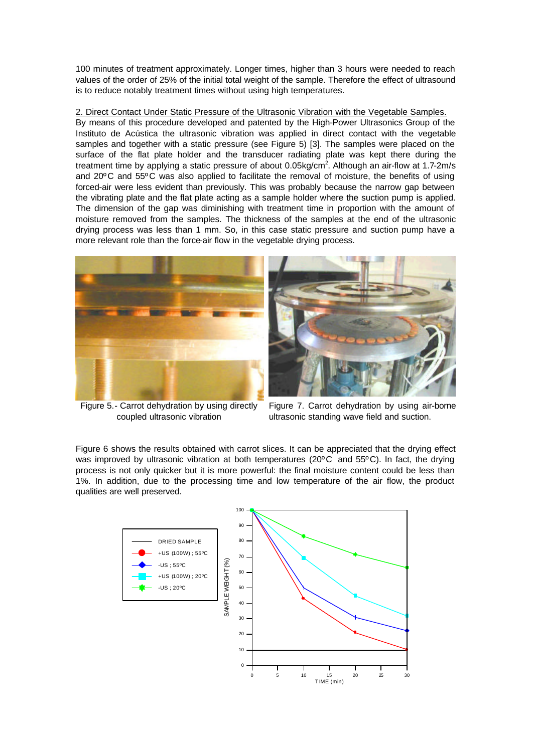100 minutes of treatment approximately. Longer times, higher than 3 hours were needed to reach values of the order of 25% of the initial total weight of the sample. Therefore the effect of ultrasound is to reduce notably treatment times without using high temperatures.

2. Direct Contact Under Static Pressure of the Ultrasonic Vibration with the Vegetable Samples. By means of this procedure developed and patented by the High-Power Ultrasonics Group of the Instituto de Acústica the ultrasonic vibration was applied in direct contact with the vegetable samples and together with a static pressure (see Figure 5) [3]. The samples were placed on the surface of the flat plate holder and the transducer radiating plate was kept there during the treatment time by applying a static pressure of about 0.05kg/cm<sup>2</sup>. Although an air-flow at 1.7-2m/s and 20ºC and 55ºC was also applied to facilitate the removal of moisture, the benefits of using forced-air were less evident than previously. This was probably because the narrow gap between the vibrating plate and the flat plate acting as a sample holder where the suction pump is applied. The dimension of the gap was diminishing with treatment time in proportion with the amount of moisture removed from the samples. The thickness of the samples at the end of the ultrasonic drying process was less than 1 mm. So, in this case static pressure and suction pump have a more relevant role than the force-air flow in the vegetable drying process.



Figure 5.- Carrot dehydration by using directly coupled ultrasonic vibration

Figure 7. Carrot dehydration by using air-borne ultrasonic standing wave field and suction.

Figure 6 shows the results obtained with carrot slices. It can be appreciated that the drying effect was improved by ultrasonic vibration at both temperatures (20ºC and 55ºC). In fact, the drying process is not only quicker but it is more powerful: the final moisture content could be less than 1%. In addition, due to the processing time and low temperature of the air flow, the product qualities are well preserved.

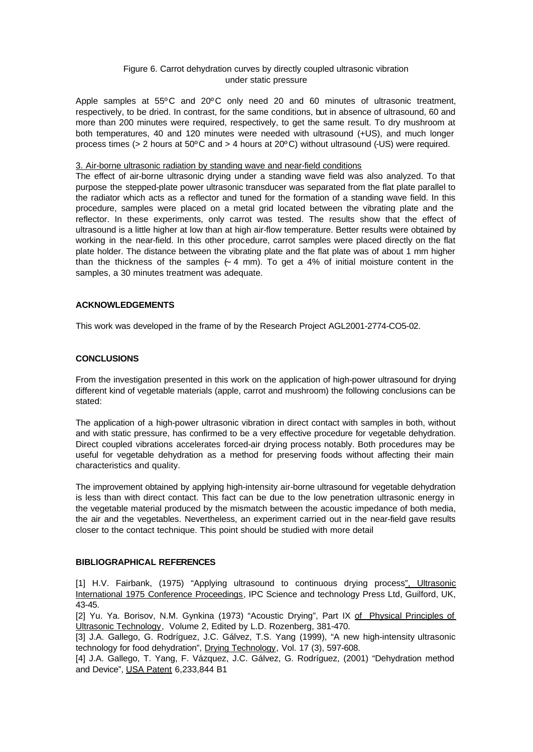## Figure 6. Carrot dehydration curves by directly coupled ultrasonic vibration under static pressure

Apple samples at 55ºC and 20ºC only need 20 and 60 minutes of ultrasonic treatment, respectively, to be dried. In contrast, for the same conditions, but in absence of ultrasound, 60 and more than 200 minutes were required, respectively, to get the same result. To dry mushroom at both temperatures, 40 and 120 minutes were needed with ultrasound (+US), and much longer process times (> 2 hours at 50ºC and > 4 hours at 20ºC) without ultrasound (-US) were required.

## 3. Air-borne ultrasonic radiation by standing wave and near-field conditions

The effect of air-borne ultrasonic drying under a standing wave field was also analyzed. To that purpose the stepped-plate power ultrasonic transducer was separated from the flat plate parallel to the radiator which acts as a reflector and tuned for the formation of a standing wave field. In this procedure, samples were placed on a metal grid located between the vibrating plate and the reflector. In these experiments, only carrot was tested. The results show that the effect of ultrasound is a little higher at low than at high air-flow temperature. Better results were obtained by working in the near-field. In this other procedure, carrot samples were placed directly on the flat plate holder. The distance between the vibrating plate and the flat plate was of about 1 mm higher than the thickness of the samples (∼ 4 mm). To get a 4% of initial moisture content in the samples, a 30 minutes treatment was adequate.

## **ACKNOWLEDGEMENTS**

This work was developed in the frame of by the Research Project AGL2001-2774-CO5-02.

# **CONCLUSIONS**

From the investigation presented in this work on the application of high-power ultrasound for drying different kind of vegetable materials (apple, carrot and mushroom) the following conclusions can be stated:

The application of a high-power ultrasonic vibration in direct contact with samples in both, without and with static pressure, has confirmed to be a very effective procedure for vegetable dehydration. Direct coupled vibrations accelerates forced-air drying process notably. Both procedures may be useful for vegetable dehydration as a method for preserving foods without affecting their main characteristics and quality.

The improvement obtained by applying high-intensity air-borne ultrasound for vegetable dehydration is less than with direct contact. This fact can be due to the low penetration ultrasonic energy in the vegetable material produced by the mismatch between the acoustic impedance of both media, the air and the vegetables. Nevertheless, an experiment carried out in the near-field gave results closer to the contact technique. This point should be studied with more detail

# **BIBLIOGRAPHICAL REFERENCES**

[1] H.V. Fairbank, (1975) "Applying ultrasound to continuous drying process", Ultrasonic International 1975 Conference Proceedings, IPC Science and technology Press Ltd, Guilford, UK, 43-45.

[2] Yu. Ya. Borisov, N.M. Gynkina (1973) "Acoustic Drying", Part IX of Physical Principles of Ultrasonic Technology, Volume 2, Edited by L.D. Rozenberg, 381-470.

[3] J.A. Gallego, G. Rodríguez, J.C. Gálvez, T.S. Yang (1999), "A new high-intensity ultrasonic technology for food dehydration", Drying Technology, Vol. 17 (3), 597-608.

[4] J.A. Gallego, T. Yang, F. Vázquez, J.C. Gálvez, G. Rodríguez, (2001) "Dehydration method and Device", USA Patent 6,233,844 B1